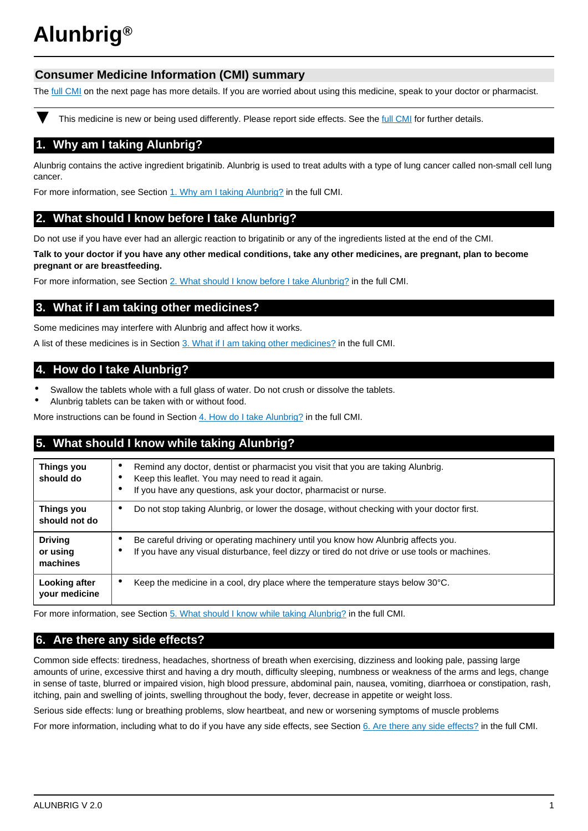# **Alunbrig®**

# **Consumer Medicine Information (CMI) summary**

The [full CMI](#page-1-0) on the next page has more details. If you are worried about using this medicine, speak to your doctor or pharmacist.

This medicine is new or being used differently. Please report side effects. See the [full CMI](#page-1-0) for further details.

# **1. Why am I taking Alunbrig?**

Alunbrig contains the active ingredient brigatinib. Alunbrig is used to treat adults with a type of lung cancer called non-small cell lung cancer.

For more information, see Section [1. Why am I taking Alunbrig?](#page-1-1) in the full CMI.

# **2. What should I know before I take Alunbrig?**

Do not use if you have ever had an allergic reaction to brigatinib or any of the ingredients listed at the end of the CMI.

**Talk to your doctor if you have any other medical conditions, take any other medicines, are pregnant, plan to become pregnant or are breastfeeding.**

For more information, see Section [2. What should I know before I take Alunbrig?](#page-1-2) in the full CMI.

# **3. What if I am taking other medicines?**

Some medicines may interfere with Alunbrig and affect how it works.

A list of these medicines is in Section [3. What if I am taking other medicines?](#page-1-3) in the full CMI.

# **4. How do I take Alunbrig?**

- Swallow the tablets whole with a full glass of water. Do not crush or dissolve the tablets.
- Alunbrig tablets can be taken with or without food.

More instructions can be found in Section [4. How do I take Alunbrig?](#page-2-0) in the full CMI.

# **5. What should I know while taking Alunbrig?**

| <b>Things you</b><br>should do         | Remind any doctor, dentist or pharmacist you visit that you are taking Alunbrig.<br>Keep this leaflet. You may need to read it again.<br>If you have any questions, ask your doctor, pharmacist or nurse.<br>٠ |
|----------------------------------------|----------------------------------------------------------------------------------------------------------------------------------------------------------------------------------------------------------------|
| Things you                             | Do not stop taking Alunbrig, or lower the dosage, without checking with your doctor first.                                                                                                                     |
| should not do                          | ٠                                                                                                                                                                                                              |
| <b>Driving</b><br>or using<br>machines | Be careful driving or operating machinery until you know how Alunbrig affects you.<br>If you have any visual disturbance, feel dizzy or tired do not drive or use tools or machines.                           |
| Looking after                          | Keep the medicine in a cool, dry place where the temperature stays below $30^{\circ}$ C.                                                                                                                       |
| your medicine                          | ٠                                                                                                                                                                                                              |

For more information, see Section [5. What should I know while taking Alunbrig?](#page-2-1) in the full CMI.

# **6. Are there any side effects?**

Common side effects: tiredness, headaches, shortness of breath when exercising, dizziness and looking pale, passing large amounts of urine, excessive thirst and having a dry mouth, difficulty sleeping, numbness or weakness of the arms and legs, change in sense of taste, blurred or impaired vision, high blood pressure, abdominal pain, nausea, vomiting, diarrhoea or constipation, rash, itching, pain and swelling of joints, swelling throughout the body, fever, decrease in appetite or weight loss.

Serious side effects: lung or breathing problems, slow heartbeat, and new or worsening symptoms of muscle problems

For more information, including what to do if you have any side effects, see Section [6. Are there any side effects?](#page-3-0) in the full CMI.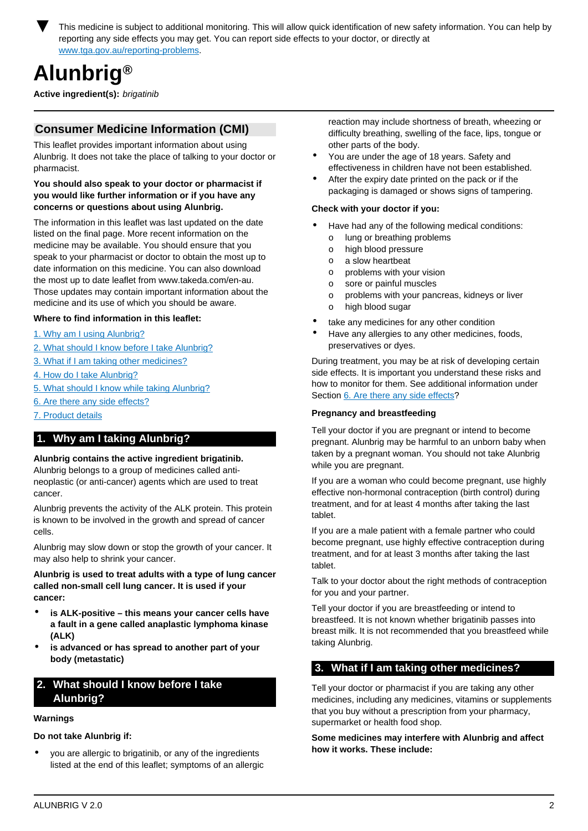<span id="page-1-0"></span>This medicine is subject to additional monitoring. This will allow quick identification of new safety information. You can help by reporting any side effects you may get. You can report side effects to your doctor, or directly at [www.tga.gov.au/reporting-problems.](http://www.tga.gov.au/reporting-problems)

# **Alunbrig®**

**Active ingredient(s):** brigatinib

# **Consumer Medicine Information (CMI)**

This leaflet provides important information about using Alunbrig. It does not take the place of talking to your doctor or pharmacist.

## **You should also speak to your doctor or pharmacist if you would like further information or if you have any concerns or questions about using Alunbrig.**

The information in this leaflet was last updated on the date listed on the final page. More recent information on the medicine may be available. You should ensure that you speak to your pharmacist or doctor to obtain the most up to date information on this medicine. You can also download the most up to date leaflet from www.takeda.com/en-au. Those updates may contain important information about the medicine and its use of which you should be aware.

# **Where to find information in this leaflet:**

- [1. Why am I using Alunbrig?](#page-1-1)
- [2. What should I know before I take Alunbrig?](#page-1-2)
- [3. What if I am taking other medicines?](#page-1-3)
- [4. How do I take Alunbrig?](#page-2-0)
- [5. What should I know while taking Alunbrig?](#page-2-1)
- [6. Are there any side effects?](#page-3-0)
- [7. Product details](#page-3-1)

# <span id="page-1-1"></span>**1. Why am I taking Alunbrig?**

## **Alunbrig contains the active ingredient brigatinib.**

Alunbrig belongs to a group of medicines called antineoplastic (or anti-cancer) agents which are used to treat cancer.

Alunbrig prevents the activity of the ALK protein. This protein is known to be involved in the growth and spread of cancer cells.

Alunbrig may slow down or stop the growth of your cancer. It may also help to shrink your cancer.

**Alunbrig is used to treat adults with a type of lung cancer called non-small cell lung cancer. It is used if your cancer:**

- **is ALK-positive this means your cancer cells have a fault in a gene called anaplastic lymphoma kinase (ALK)**
- **is advanced or has spread to another part of your body (metastatic)**

# <span id="page-1-2"></span>**2. What should I know before I take Alunbrig?**

# **Warnings**

**Do not take Alunbrig if:**

• you are allergic to brigatinib, or any of the ingredients listed at the end of this leaflet; symptoms of an allergic reaction may include shortness of breath, wheezing or difficulty breathing, swelling of the face, lips, tongue or other parts of the body.

- You are under the age of 18 years. Safety and effectiveness in children have not been established.
- After the expiry date printed on the pack or if the packaging is damaged or shows signs of tampering.

## **Check with your doctor if you:**

- Have had any of the following medical conditions: o lung or breathing problems
	- o high blood pressure
	- o a slow heartbeat
	- o problems with your vision
	- o sore or painful muscles
	- o problems with your pancreas, kidneys or liver
	- o high blood sugar
- take any medicines for any other condition
- Have any allergies to any other medicines, foods, preservatives or dyes.

During treatment, you may be at risk of developing certain side effects. It is important you understand these risks and how to monitor for them. See additional information under Section [6. Are there any side effects](#page-3-0)?

## **Pregnancy and breastfeeding**

Tell your doctor if you are pregnant or intend to become pregnant. Alunbrig may be harmful to an unborn baby when taken by a pregnant woman. You should not take Alunbrig while you are pregnant.

If you are a woman who could become pregnant, use highly effective non-hormonal contraception (birth control) during treatment, and for at least 4 months after taking the last tablet.

If you are a male patient with a female partner who could become pregnant, use highly effective contraception during treatment, and for at least 3 months after taking the last tablet.

Talk to your doctor about the right methods of contraception for you and your partner.

Tell your doctor if you are breastfeeding or intend to breastfeed. It is not known whether brigatinib passes into breast milk. It is not recommended that you breastfeed while taking Alunbrig.

# <span id="page-1-3"></span>**3. What if I am taking other medicines?**

Tell your doctor or pharmacist if you are taking any other medicines, including any medicines, vitamins or supplements that you buy without a prescription from your pharmacy, supermarket or health food shop.

## **Some medicines may interfere with Alunbrig and affect how it works. These include:**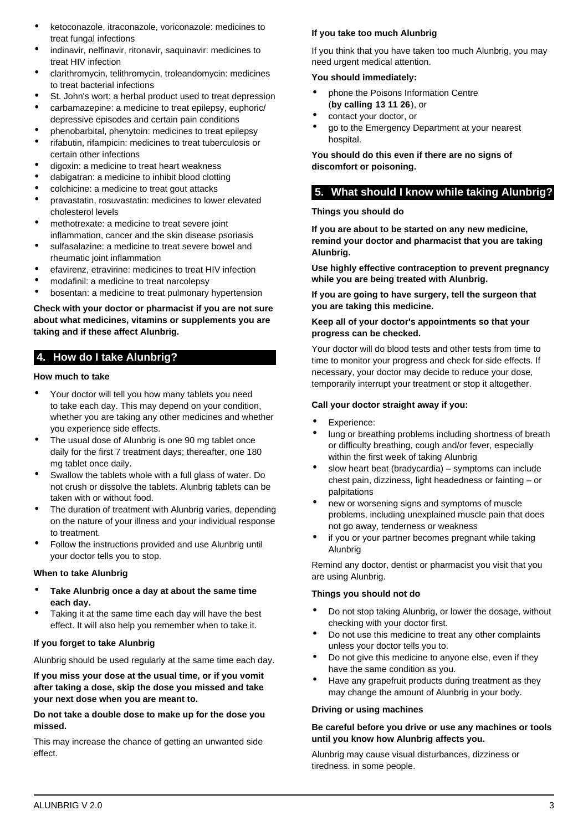- ketoconazole, itraconazole, voriconazole: medicines to treat fungal infections
- indinavir, nelfinavir, ritonavir, saquinavir: medicines to treat HIV infection
- clarithromycin, telithromycin, troleandomycin: medicines to treat bacterial infections
- St. John's wort: a herbal product used to treat depression
- carbamazepine: a medicine to treat epilepsy, euphoric/ depressive episodes and certain pain conditions
- phenobarbital, phenytoin: medicines to treat epilepsy
- rifabutin, rifampicin: medicines to treat tuberculosis or certain other infections
- digoxin: a medicine to treat heart weakness
- dabigatran: a medicine to inhibit blood clotting
- colchicine: a medicine to treat gout attacks
- pravastatin, rosuvastatin: medicines to lower elevated cholesterol levels
- methotrexate: a medicine to treat severe joint inflammation, cancer and the skin disease psoriasis
- sulfasalazine: a medicine to treat severe bowel and rheumatic joint inflammation
- efavirenz, etravirine: medicines to treat HIV infection
- modafinil: a medicine to treat narcolepsy
- bosentan: a medicine to treat pulmonary hypertension

# **Check with your doctor or pharmacist if you are not sure about what medicines, vitamins or supplements you are taking and if these affect Alunbrig.**

# <span id="page-2-0"></span>**4. How do I take Alunbrig?**

# **How much to take**

- Your doctor will tell you how many tablets you need to take each day. This may depend on your condition, whether you are taking any other medicines and whether you experience side effects.
- The usual dose of Alunbrig is one 90 mg tablet once daily for the first 7 treatment days; thereafter, one 180 mg tablet once daily.
- Swallow the tablets whole with a full glass of water. Do not crush or dissolve the tablets. Alunbrig tablets can be taken with or without food.
- The duration of treatment with Alunbrig varies, depending on the nature of your illness and your individual response to treatment.
- Follow the instructions provided and use Alunbrig until your doctor tells you to stop.

# **When to take Alunbrig**

- **Take Alunbrig once a day at about the same time each day.**
- Taking it at the same time each day will have the best effect. It will also help you remember when to take it.

# **If you forget to take Alunbrig**

Alunbrig should be used regularly at the same time each day.

**If you miss your dose at the usual time, or if you vomit after taking a dose, skip the dose you missed and take your next dose when you are meant to.**

**Do not take a double dose to make up for the dose you missed.**

This may increase the chance of getting an unwanted side effect.

# **If you take too much Alunbrig**

If you think that you have taken too much Alunbrig, you may need urgent medical attention.

# **You should immediately:**

- phone the Poisons Information Centre (**by calling 13 11 26**), or
- contact your doctor, or
- go to the Emergency Department at your nearest hospital.

**You should do this even if there are no signs of discomfort or poisoning.**

# <span id="page-2-1"></span>**5. What should I know while taking Alunbrig?**

# **Things you should do**

**If you are about to be started on any new medicine, remind your doctor and pharmacist that you are taking Alunbrig.**

**Use highly effective contraception to prevent pregnancy while you are being treated with Alunbrig.**

**If you are going to have surgery, tell the surgeon that you are taking this medicine.**

# **Keep all of your doctor's appointments so that your progress can be checked.**

Your doctor will do blood tests and other tests from time to time to monitor your progress and check for side effects. If necessary, your doctor may decide to reduce your dose, temporarily interrupt your treatment or stop it altogether.

# **Call your doctor straight away if you:**

- Experience:
- lung or breathing problems including shortness of breath or difficulty breathing, cough and/or fever, especially within the first week of taking Alunbrig
- slow heart beat (bradycardia) symptoms can include chest pain, dizziness, light headedness or fainting – or palpitations
- new or worsening signs and symptoms of muscle problems, including unexplained muscle pain that does not go away, tenderness or weakness
- if you or your partner becomes pregnant while taking Alunbrig

Remind any doctor, dentist or pharmacist you visit that you are using Alunbrig.

# **Things you should not do**

- Do not stop taking Alunbrig, or lower the dosage, without checking with your doctor first.
- Do not use this medicine to treat any other complaints unless your doctor tells you to.
- Do not give this medicine to anyone else, even if they have the same condition as you.
- Have any grapefruit products during treatment as they may change the amount of Alunbrig in your body.

## **Driving or using machines**

# **Be careful before you drive or use any machines or tools until you know how Alunbrig affects you.**

Alunbrig may cause visual disturbances, dizziness or tiredness. in some people.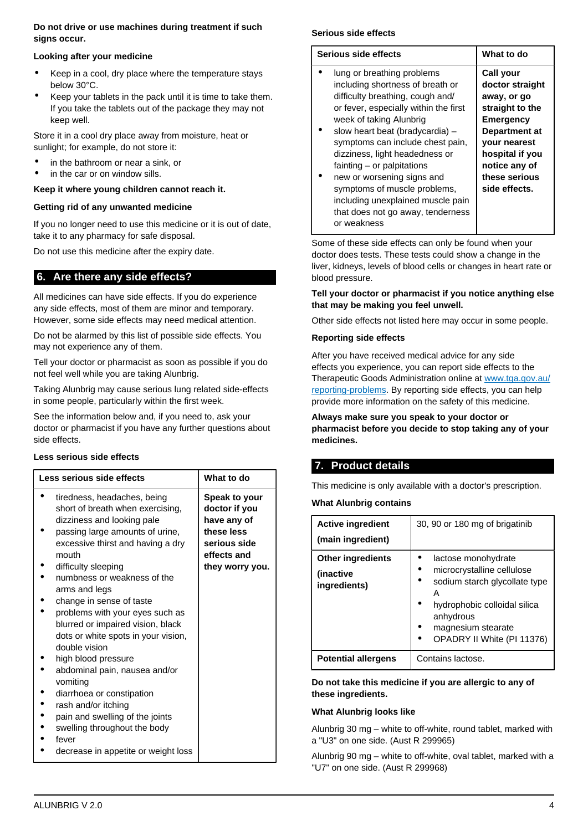# **Do not drive or use machines during treatment if such signs occur.**

## **Looking after your medicine**

- Keep in a cool, dry place where the temperature stays below 30°C.
- Keep your tablets in the pack until it is time to take them. If you take the tablets out of the package they may not keep well.

Store it in a cool dry place away from moisture, heat or sunlight; for example, do not store it:

- in the bathroom or near a sink, or
- in the car or on window sills.

# **Keep it where young children cannot reach it.**

# **Getting rid of any unwanted medicine**

If you no longer need to use this medicine or it is out of date, take it to any pharmacy for safe disposal.

Do not use this medicine after the expiry date.

# <span id="page-3-0"></span>**6. Are there any side effects?**

All medicines can have side effects. If you do experience any side effects, most of them are minor and temporary. However, some side effects may need medical attention.

Do not be alarmed by this list of possible side effects. You may not experience any of them.

Tell your doctor or pharmacist as soon as possible if you do not feel well while you are taking Alunbrig.

Taking Alunbrig may cause serious lung related side-effects in some people, particularly within the first week.

See the information below and, if you need to, ask your doctor or pharmacist if you have any further questions about side effects.

## **Less serious side effects**

| Less serious side effects                                                                                                                                                                                                                                                                                                                                                                                                                                                                                          | What to do                                                                                                           |
|--------------------------------------------------------------------------------------------------------------------------------------------------------------------------------------------------------------------------------------------------------------------------------------------------------------------------------------------------------------------------------------------------------------------------------------------------------------------------------------------------------------------|----------------------------------------------------------------------------------------------------------------------|
| tiredness, headaches, being<br>short of breath when exercising,<br>dizziness and looking pale<br>passing large amounts of urine,<br>excessive thirst and having a dry<br>mouth<br>difficulty sleeping<br>numbness or weakness of the<br>arms and legs<br>change in sense of taste<br>problems with your eyes such as<br>blurred or impaired vision, black<br>dots or white spots in your vision,<br>double vision<br>high blood pressure<br>abdominal pain, nausea and/or<br>vomiting<br>diarrhoea or constipation | <b>Speak to your</b><br>doctor if you<br>have any of<br>these less<br>serious side<br>effects and<br>they worry you. |
| rash and/or itching                                                                                                                                                                                                                                                                                                                                                                                                                                                                                                |                                                                                                                      |
| pain and swelling of the joints<br>swelling throughout the body                                                                                                                                                                                                                                                                                                                                                                                                                                                    |                                                                                                                      |
| fever<br>decrease in appetite or weight loss                                                                                                                                                                                                                                                                                                                                                                                                                                                                       |                                                                                                                      |

# **Serious side effects**

| Serious side effects                  | What to do          |
|---------------------------------------|---------------------|
|                                       |                     |
| lung or breathing problems            | <b>Call your</b>    |
| including shortness of breath or      | doctor straight     |
| difficulty breathing, cough and/      | away, or go         |
| or fever, especially within the first | straight to the     |
| week of taking Alunbrig               | <b>Emergency</b>    |
| slow heart beat (bradycardia) -       | Department at       |
| symptoms can include chest pain,      | <b>your nearest</b> |
| dizziness, light headedness or        | hospital if you     |
| fainting – or palpitations            | notice any of       |
| new or worsening signs and            | these serious       |
| symptoms of muscle problems,          | side effects.       |
| including unexplained muscle pain     |                     |
| that does not go away, tenderness     |                     |

Some of these side effects can only be found when your doctor does tests. These tests could show a change in the liver, kidneys, levels of blood cells or changes in heart rate or blood pressure.

## **Tell your doctor or pharmacist if you notice anything else that may be making you feel unwell.**

Other side effects not listed here may occur in some people.

# **Reporting side effects**

or weakness

After you have received medical advice for any side effects you experience, you can report side effects to the Therapeutic Goods Administration online at [www.tga.gov.au/](http://www.tga.gov.au/reporting-problems) [reporting-problems](http://www.tga.gov.au/reporting-problems). By reporting side effects, you can help provide more information on the safety of this medicine.

**Always make sure you speak to your doctor or pharmacist before you decide to stop taking any of your medicines.**

# <span id="page-3-1"></span>**7. Product details**

This medicine is only available with a doctor's prescription.

## **What Alunbrig contains**

| <b>Active ingredient</b><br>(main ingredient)          | 30, 90 or 180 mg of brigatinib                                                                                                                                                           |  |
|--------------------------------------------------------|------------------------------------------------------------------------------------------------------------------------------------------------------------------------------------------|--|
| <b>Other ingredients</b><br>(inactive)<br>ingredients) | lactose monohydrate<br>microcrystalline cellulose<br>sodium starch glycollate type<br>А<br>hydrophobic colloidal silica<br>anhydrous<br>magnesium stearate<br>OPADRY II White (PI 11376) |  |
| <b>Potential allergens</b>                             | Contains lactose.                                                                                                                                                                        |  |

**Do not take this medicine if you are allergic to any of these ingredients.**

## **What Alunbrig looks like**

Alunbrig 30 mg – white to off-white, round tablet, marked with a "U3" on one side. (Aust R 299965)

Alunbrig 90 mg – white to off-white, oval tablet, marked with a "U7" on one side. (Aust R 299968)